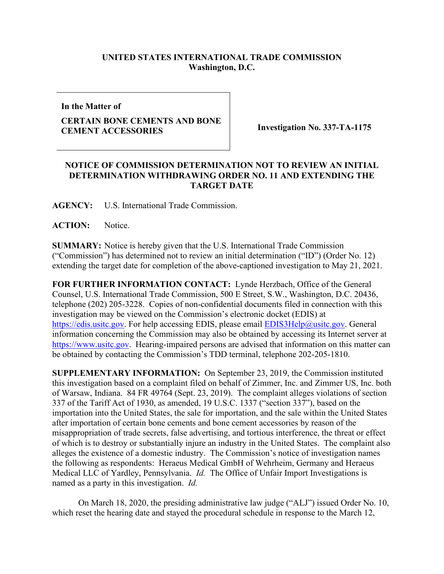## **UNITED STATES INTERNATIONAL TRADE COMMISSION Washington, D.C.**

**In the Matter of**

**CERTAIN BONE CEMENTS AND BONE CEMENT ACCESSORIES Investigation No. 337-TA-1175** 

## **NOTICE OF COMMISSION DETERMINATION NOT TO REVIEW AN INITIAL DETERMINATION WITHDRAWING ORDER NO. 11 AND EXTENDING THE TARGET DATE**

**AGENCY:** U.S. International Trade Commission.

**ACTION:** Notice.

**SUMMARY:** Notice is hereby given that the U.S. International Trade Commission ("Commission") has determined not to review an initial determination ("ID") (Order No. 12) extending the target date for completion of the above-captioned investigation to May 21, 2021.

**FOR FURTHER INFORMATION CONTACT:** Lynde Herzbach, Office of the General Counsel, U.S. International Trade Commission, 500 E Street, S.W., Washington, D.C. 20436, telephone (202) 205-3228. Copies of non-confidential documents filed in connection with this investigation may be viewed on the Commission's electronic docket (EDIS) at [https://edis.usitc.gov.](https://edis.usitc.gov/) For help accessing EDIS, please email [EDIS3Help@usitc.gov.](mailto:EDIS3Help@usitc.gov) General information concerning the Commission may also be obtained by accessing its Internet server at [https://www.usitc.gov.](https://www.usitc.gov/) Hearing-impaired persons are advised that information on this matter can be obtained by contacting the Commission's TDD terminal, telephone 202-205-1810.

**SUPPLEMENTARY INFORMATION:** On September 23, 2019, the Commission instituted this investigation based on a complaint filed on behalf of Zimmer, Inc. and Zimmer US, Inc. both of Warsaw, Indiana. 84 FR 49764 (Sept. 23, 2019). The complaint alleges violations of section 337 of the Tariff Act of 1930, as amended, 19 U.S.C. 1337 ("section 337"), based on the importation into the United States, the sale for importation, and the sale within the United States after importation of certain bone cements and bone cement accessories by reason of the misappropriation of trade secrets, false advertising, and tortious interference, the threat or effect of which is to destroy or substantially injure an industry in the United States. The complaint also alleges the existence of a domestic industry. The Commission's notice of investigation names the following as respondents: Heraeus Medical GmbH of Wehrheim, Germany and Heraeus Medical LLC of Yardley, Pennsylvania. *Id.* The Office of Unfair Import Investigations is named as a party in this investigation. *Id.*

On March 18, 2020, the presiding administrative law judge ("ALJ") issued Order No. 10, which reset the hearing date and stayed the procedural schedule in response to the March 12,